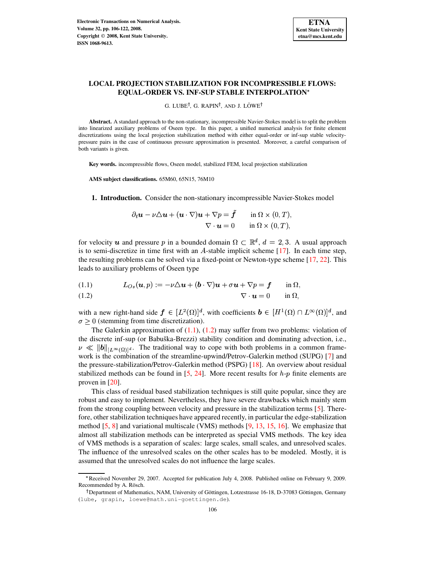

# **LOCAL PROJECTION STABILIZATION FOR INCOMPRESSIBLE FLOWS: EQUAL-ORDER VS. INF-SUP STABLE INTERPOLATION**

G. LUBE†, G. RAPIN†, AND J. LÖWE†

**Abstract.** A standard approach to the non-stationary, incompressible Navier-Stokes model is to split the problem into linearized auxiliary problems of Oseen type. In this paper, a unified numerical analysis for finite element discretizations using the local projection stabilization method with either equal-order or inf-sup stable velocitypressure pairs in the case of continuous pressure approximation is presented. Moreover, a careful comparison of both variants is given.

**Key words.** incompressible flows, Oseen model, stabilized FEM, local projection stabilization

**AMS subject classifications.** 65M60, 65N15, 76M10

**1. Introduction.** Consider the non-stationary incompressible Navier-Stokes model

$$
\partial_t \mathbf{u} - \nu \triangle \mathbf{u} + (\mathbf{u} \cdot \nabla) \mathbf{u} + \nabla p = \tilde{\mathbf{f}} \quad \text{in } \Omega \times (0, T),
$$
  

$$
\nabla \cdot \mathbf{u} = 0 \quad \text{in } \Omega \times (0, T),
$$

for velocity  $u$  and pressure p in a bounded domain  $\Omega \subset \mathbb{R}^d$ ,  $d = 2,3$ . A usual approach is to semi-discretize in time first with an A-stable implicit scheme  $[17]$ . In each time step, the resulting problems can be solved via a fixed-point or Newton-type scheme [\[17,](#page-16-0) [22\]](#page-16-1). This leads to auxiliary problems of Oseen type

<span id="page-0-0"></span>
$$
(1.1) \tL_{Os}(u, p) := -\nu \Delta u + (b \cdot \nabla)u + \sigma u + \nabla p = f \t\t \text{in } \Omega,
$$

$$
\nabla \cdot \mathbf{u} = 0 \quad \text{in } \Omega,
$$

with a new right-hand side  $\boldsymbol{f} \in [L^2(\Omega)]^d$ , with coefficients  $\boldsymbol{b} \in [H^1(\Omega) \cap L^{\infty}(\Omega)]^d$ , and  $\sigma \geq 0$  (stemming from time discretization).

The Galerkin approximation of  $(1.1)$ ,  $(1.2)$  may suffer from two problems: violation of the discrete inf-sup (or Babuška-Brezzi) stability condition and dominating advection, i.e.,  $\nu \ll ||b||_{L^{\infty}(\Omega)}$ . The traditional way to cope with both problems in a common framework is the combination of the streamline-upwind/Petrov-Galerkin method (SUPG) [\[7\]](#page-16-2) and the pressure-stabilization/Petrov-Galerkin method (PSPG) [\[18\]](#page-16-3). An overview about residual stabilized methods can be found in  $[5, 24]$  $[5, 24]$  $[5, 24]$ . More recent results for  $h\neg p$  finite elements are proven in [\[20\]](#page-16-5).

This class of residual based stabilization techniques is still quite popular, since they are robust and easy to implement. Nevertheless, they have severe drawbacks which mainly stem from the strong coupling between velocity and pressure in the stabilization terms [\[5\]](#page-15-0). Therefore, other stabilization techniques have appeared recently, in particular the edge-stabilization method [\[5,](#page-15-0) [8\]](#page-16-6) and variational multiscale (VMS) methods [\[9,](#page-16-7) [13,](#page-16-8) [15,](#page-16-9) [16\]](#page-16-10). We emphasize that almost all stabilization methods can be interpreted as special VMS methods. The key idea of VMS methods is a separation of scales: large scales, small scales, and unresolved scales. The influence of the unresolved scales on the other scales has to be modeled. Mostly, it is assumed that the unresolved scales do not influence the large scales.

l Received November 29, 2007. Accepted for publication July 4, 2008. Published online on February 9, 2009. Recommended by A. Rösch.

<sup>&</sup>lt;sup>†</sup> Department of Mathematics, NAM, University of Göttingen, Lotzestrasse 16-18, D-37083 Göttingen, Germany (lube, grapin, loewe@math.uni-goettingen.de).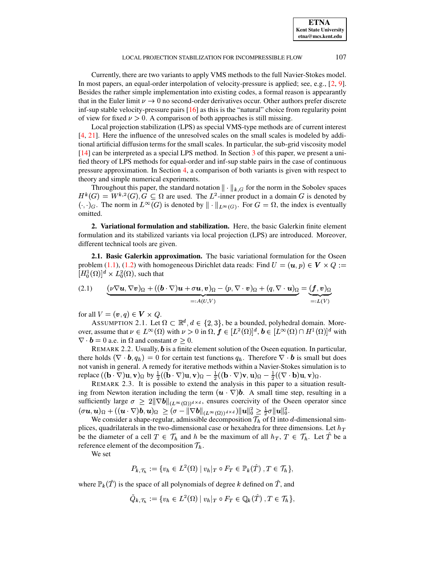**ETNA Kent State University etna@mcs.kent.edu**

#### LOCAL PROJECTION STABILIZATION FOR INCOMPRESSIBLE FLOW 107

Currently, there are two variants to apply VMS methods to the full Navier-Stokes model. In most papers, an equal-order interpolation of velocity-pressure is applied; see, e.g., [\[2,](#page-15-1) [9\]](#page-16-7). Besides the rather simple implementation into existing codes, a formal reason is appearantly that in the Euler limit  $\nu \rightarrow 0$  no second-order derivatives occur. Other authors prefer discrete inf-sup stable velocity-pressure pairs [\[16\]](#page-16-10) as this is the "natural" choice from regularity point of view for fixed  $\nu > 0$ . A comparison of both approaches is still missing.

Local projection stabilization (LPS) as special VMS-type methods are of current interest [\[4,](#page-15-2) [21\]](#page-16-11). Here the influence of the unresolved scales on the small scales is modeled by additional artificial diffusion terms for the small scales. In particular, the sub-grid viscosity model [\[14\]](#page-16-12) can be interpreted as a special LPS method. In Section [3](#page-4-0) of this paper, we present a unified theory of LPS methods for equal-order and inf-sup stable pairs in the case of continuous pressure approximation. In Section [4,](#page-10-0) a comparison of both variants is given with respect to theory and simple numerical experiments.

Throughout this paper, the standard notation  $\|\cdot\|_{k,G}$  for the norm in the Sobolev spaces  $S^2(G), G \subseteq \Omega$  are used. The  $L^2$ -inner product in a domain G is denoted by  $(\cdot, \cdot)_G$ . The norm in  $L^{\infty}(G)$  is denoted by  $\|\cdot\|_{L^{\infty}(G)}$ . For  $G = \Omega$ , the index is eventually omitted.

**2. Variational formulation and stabilization.** Here, the basic Galerkin finite element formulation and its stabilized variants via local projection (LPS) are introduced. Moreover, different technical tools are given.

**2.1. Basic Galerkin approximation.** The basic variational formulation for the Oseen problem [\(1.1\)](#page-0-0), [\(1.2\)](#page-0-0) with homogeneous Dirichlet data reads: Find  $U = (\boldsymbol{u}, p) \in \boldsymbol{V} \times Q :=$  $[H_0^1(\Omega)]^d \times L_0^2(\Omega)$ , such that

<span id="page-1-0"></span>(2.1) 
$$
\underbrace{(\nu \nabla \boldsymbol{u}, \nabla \boldsymbol{v})_{\Omega} + ((\boldsymbol{b} \cdot \nabla) \boldsymbol{u} + \sigma \boldsymbol{u}, \boldsymbol{v})_{\Omega} - (p, \nabla \cdot \boldsymbol{v})_{\Omega} + (q, \nabla \cdot \boldsymbol{u})_{\Omega}}_{=: A(U,V)} = \underbrace{(\boldsymbol{f}, \boldsymbol{v})_{\Omega}}_{=: L(V)}
$$

for all  $V = (\boldsymbol{v}, q) \in \boldsymbol{V} \times Q$ .

ASSUMPTION 2.1. Let  $\Omega \subset \mathbb{R}^d, d \in \{2, 3\}$ , be a bounded, polyhedral domain. Moreover, assume that  $\nu \in L^{\infty}(\Omega)$  with  $\nu > 0$  in  $\Omega, \, \boldsymbol{f} \in [L^{2}(\Omega)]^{d}, \, \boldsymbol{b} \in [L^{\infty}(\Omega) \cap H^{1}(\Omega)]^{d}$  with  $\nabla \cdot \mathbf{b} = 0$  a.e. in  $\Omega$  and constant  $\sigma \geq 0$ .

REMARK 2.2. Usually,  $\boldsymbol{b}$  is a finite element solution of the Oseen equation. In particular, there holds  $(\nabla \cdot \mathbf{b}, q_h) = 0$  for certain test functions  $q_h$ . Therefore  $\nabla \cdot \mathbf{b}$  is small but does not vanish in general. A remedy for iterative methods within a Navier-Stokes simulation is to replace  $((\mathbf{b} \cdot \nabla) \mathbf{u}, \mathbf{v})_{\Omega}$  by  $\frac{1}{2}((\mathbf{b} \cdot \nabla)$  $\mathbf{a}$ ;  $\mathbf{a}$  and  $\mathbf{a}$  and  $\mathbf{a}$  and  $\mathbf{a}$  $\cdots$  $\mathbf{r}$  , and a vector of  $\mathbf{r}$  d  $\mathbf{r}$  d  $\mathbf{r}$  d  $\mathbf{r}$  $\cdots$ 

REMARK 2.3. It is possible to extend the analysis in this paper to a situation resulting from Newton iteration including the term  $(\mathbf{u} \cdot \nabla) \mathbf{b}$ . A small time step, resulting in a sufficiently large  $\sigma \geq 2\|\nabla b\|_{(L^{\infty}(\Omega))^d \times d}$ , ensures coercivity of the Oseen operator since  $(\sigma \boldsymbol{u},\boldsymbol{u})_{\Omega} + ((\boldsymbol{u} \cdot \nabla) \boldsymbol{b},\boldsymbol{u})_{\Omega} \ \geq (\sigma - \|\nabla \boldsymbol{b}\|_{(L^{\infty}(\Omega))^{d \times d}}) \|\boldsymbol{u}\|_{0}^{2} \geq \frac{1}{2}\sigma \|\boldsymbol{u}\|_{0}^{2}.$ 

We consider a shape-regular, admissible decomposition  $\mathcal{T}_h$  of  $\Omega$  into d-dimensional simplices, quadrilaterals in the two-dimensional case or hexahedra for three dimensions. Let  $h_T$ be the diameter of a cell  $T \in \mathcal{T}_h$  and h be the maximum of all  $h_T$ ,  $T \in \mathcal{T}_h$ . Let T be a reference element of the decomposition  $\mathcal{T}_h$ .

We set

$$
P_{k,\mathcal{T}_h} := \{ v_h \in L^2(\Omega) \mid v_h|_T \circ F_T \in \mathbb{P}_k(\hat{T}), T \in \mathcal{T}_h \},
$$

where  $\mathbb{P}_k(T)$  is the space of all polynomials of degree k defined on T, and

$$
\tilde{Q}_{k,\mathcal{T}_h} := \{ v_h \in L^2(\Omega) \mid v_h|_T \circ F_T \in \mathbb{Q}_k(\hat{T}), T \in \mathcal{T}_h \},
$$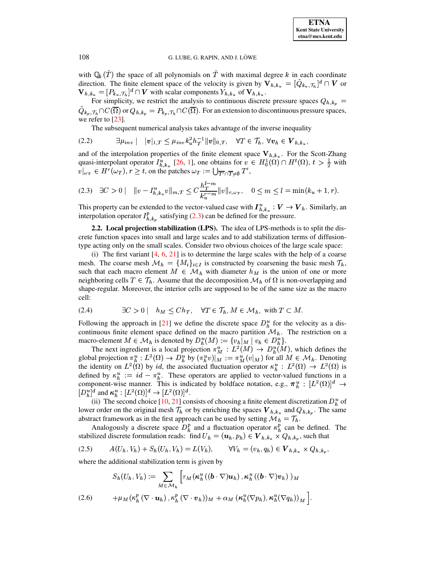with  $\mathbb{Q}_k(T)$  the space of all polynomials on T with maximal degree k in each coordinate direction. The finite element space of the velocity is given by  $V_{h,k_u} = [\tilde{Q}_{k_u}, \tau_h]^d \cap V$  or  $\mathbf{V}_{h,k_u} = [P_{k_u}, \tau_h]^d \cap \mathbf{V}$  with scalar components  $Y_{h,k_u}$  of  $\mathbf{V}_{h,k_u}$ .

For simplicity, we restrict the analysis to continuous discrete pressure spaces  $Q_{h,k_p}$  =  $Q_{k_p, \mathcal{T}_h} \cap C(\overline{\Omega})$  or  $Q_{h,k_p} = P_{k_p, \mathcal{T}_h} \cap C(\overline{\Omega})$ . For an extension to discontinuous pressure spaces, we refer to  $[23]$ .

<span id="page-2-4"></span><span id="page-2-0"></span>The subsequent numerical analysis takes advantage of the inverse inequality

$$
(2.2) \qquad \qquad \exists \mu_{inv} \mid \quad |v|_{1,T} \leq \mu_{inv} k_u^2 h_T^{-1} ||v||_{0,T}, \quad \forall T \in \mathcal{T}_h, \ \forall v_h \in \mathbf{V}_{h,k_u}.
$$

and of the interpolation properties of the finite element space  $V_{h,k_u}$ . For the Scott-Zhang quasi-interpolant operator  $I_{h,k_u}^u$  [26, 1], one obtains for  $v \in H_0^1(\Omega) \cap H^t(\Omega)$ ,  $t > \frac{1}{2}$  with  $v|_{\omega_T} \in H^r(\omega_T)$ ,  $r \ge t$ , on the patches  $\omega_T := \bigcup_{\overline{T'} \cap \overline{T} \ne \emptyset} T'$ ,

$$
(2.3) \quad \exists C > 0 \, \vert \quad \Vert v - I_{h,k_u}^u v \Vert_{m,T} \leq C \frac{h_T^{l-m}}{k_u^{r-m}} \Vert v \Vert_{r,\omega_T}, \quad 0 \leq m \leq l = \min(k_u + 1, r).
$$

This property can be extended to the vector-valued case with  $I_{h,k_n}^u : V \to V_h$ . Similarly, an interpolation operator  $I_{h,k_n}^p$  satisfying (2.3) can be defined for the pressure.

<span id="page-2-3"></span>2.2. Local projection stabilization (LPS). The idea of LPS-methods is to split the discrete function spaces into small and large scales and to add stabilization terms of diffusiontype acting only on the small scales. Consider two obvious choices of the large scale space:

(i) The first variant  $[4, 6, 21]$  is to determine the large scales with the help of a coarse mesh. The coarse mesh  $\mathcal{M}_h = \{M_i\}_{i \in I}$  is constructed by coarsening the basic mesh  $\mathcal{T}_h$ , such that each macro element  $M \in \mathcal{M}_h$  with diameter  $h_M$  is the union of one or more neighboring cells  $T \in \mathcal{T}_h$ . Assume that the decomposition  $\mathcal{M}_h$  of  $\Omega$  is non-overlapping and shape-regular. Moreover, the interior cells are supposed to be of the same size as the macro cell:

(2.4) 
$$
\exists C > 0 \mid h_M \leq Ch_T, \quad \forall T \in \mathcal{T}_h, M \in \mathcal{M}_h, \text{ with } T \subset M.
$$

Following the approach in [21] we define the discrete space  $D_h^u$  for the velocity as a discontinuous finite element space defined on the macro partition  $\mathcal{M}_h$ . The restriction on a macro-element  $M \in \mathcal{M}_h$  is denoted by  $D_h^u(M) := \{v_h |_M \mid v_h \in D_h^u\}.$ 

The next ingredient is a local projection  $\pi_M^u : L^2(M) \to D_h^u(M)$ , which defines the global projection  $\pi_h^u : L^2(\Omega) \to D_h^u$  by  $(\pi_h^u v)|_M := \pi_M^u(v|_M)$  for all  $M \in \mathcal{M}_h$ . Denoting the identity on  $L^2(\Omega)$  by id, the associated fluctuation operator  $\kappa_h^u : L^2(\Omega) \to L^2(\Omega)$  is defined by  $\kappa_h^u := id - \pi_h^u$ . These operators are applied to vector-valued functions in a component-wise manner. This is indicated by boldface notation, e.g.,  $\pi_h^u : [L^2(\Omega)]^d \to$  $[D_h^u]^d$  and  $\kappa_h^u : [L^2(\Omega)]^d \to [L^2(\Omega)]^d$ .

(ii) The second choice [10, 21] consists of choosing a finite element discretization  $D_h^u$  of lower order on the original mesh  $\mathcal{T}_h$  or by enriching the spaces  $\mathbf{V}_{h,k_u}$  and  $Q_{h,k_v}$ . The same abstract framework as in the first approach can be used by setting  $\mathcal{M}_h = \mathcal{T}_h$ .

<span id="page-2-2"></span>Analogously a discrete space  $D_h^p$  and a fluctuation operator  $\kappa_h^p$  can be defined. The stabilized discrete formulation reads: find  $U_h = (u_h, p_h) \in V_{h,k_u} \times Q_{h,k_p}$ , such that

$$
(2.5) \t A(U_h, V_h) + S_h(U_h, V_h) = L(V_h), \t \forall V_h = (v_h, q_h) \in \mathbf{V}_{h, k_u} \times Q_{h, k_p},
$$

where the additional stabilization term is given by

<span id="page-2-1"></span>
$$
S_h(U_h, V_h) := \sum_{M \in \mathcal{M}_h} \left[ \tau_M(\kappa_h^u((\boldsymbol{b} \cdot \nabla) \boldsymbol{u}_h), \kappa_h^u((\boldsymbol{b} \cdot \nabla) \boldsymbol{v}_h))_M \right]
$$
  
(2.6) 
$$
+ \mu_M(\kappa_h^p(\nabla \cdot \boldsymbol{u}_h), \kappa_h^p(\nabla \cdot \boldsymbol{v}_h))_M + \alpha_M(\kappa_h^u(\nabla p_h), \kappa_h^u(\nabla q_h))_M \right].
$$

108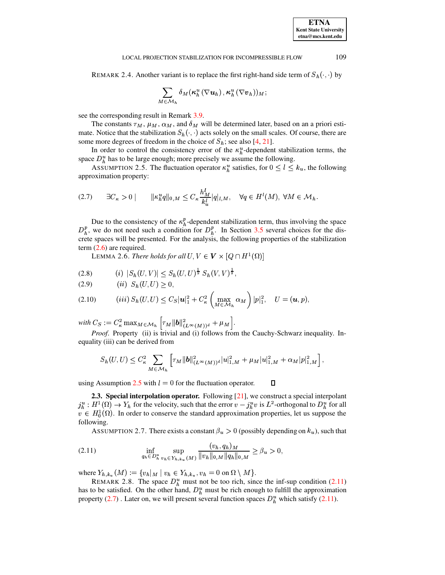<span id="page-3-5"></span>REMARK 2.4. Another variant is to replace the first right-hand side term of  $S_h(\cdot, \cdot)$  by

<span id="page-3-0"></span>
$$
\sum_{M\in\mathcal{M}_h}\delta_M(\kappa_h^u\left(\nabla\boldsymbol{u}_h\right),\kappa_h^u\left(\nabla\boldsymbol{v}_h\right))_M;
$$

LOCAL PROJECTION STABILIZATION FOR INCOMPRESSIBLE FLOW

see the corresponding result in Remark 3.9.

The constants  $\tau_M$ ,  $\mu_M$ ,  $\alpha_M$ , and  $\delta_M$  will be determined later, based on an a priori estimate. Notice that the stabilization  $S_h(\cdot, \cdot)$  acts solely on the small scales. Of course, there are some more degrees of freedom in the choice of  $S_h$ ; see also [4, 21].

In order to control the consistency error of the  $\kappa_h^u$ -dependent stabilization terms, the space  $D_h^u$  has to be large enough; more precisely we assume the following.

<span id="page-3-2"></span>ASSUMPTION 2.5. The fluctuation operator  $\kappa_h^u$  satisfies, for  $0 \le l \le k_u$ , the following approximation property:

$$
(2.7) \qquad \exists C_{\kappa} > 0 \mid \qquad \|\kappa_h^u q\|_{0,M} \le C_{\kappa} \frac{h_M^l}{k_u^l} |q|_{l,M}, \quad \forall q \in H^l(M), \ \forall M \in \mathcal{M}_h.
$$

Due to the consistency of the  $\kappa_h^p$ -dependent stabilization term, thus involving the space  $D_h^p$ , we do not need such a condition for  $D_h^p$ . In Section 3.5 several choices for the discrete spaces will be presented. For the analysis, the following properties of the stabilization term  $(2.6)$  are required.

<span id="page-3-4"></span>LEMMA 2.6. There holds for all  $U, V \in V \times [Q \cap H^1(\Omega)]$ 

$$
(2.8) \t\t (i) |S_h(U,V)| \leq S_h(U,U)^{\frac{1}{2}} S_h(V,V)^{\frac{1}{2}},
$$

$$
(2.9) \qquad (ii) \ \ S_h(U, U) \geq 0,
$$

(2.10) (iii) 
$$
S_h(U, U) \leq C_S |\mathbf{u}|_1^2 + C_\kappa^2 \left( \max_{M \in \mathcal{M}_h} \alpha_M \right) |p|_1^2, \quad U = (\mathbf{u}, p),
$$

with  $C_S := C_{\kappa}^2 \max_{M \in \mathcal{M}_h} \left[ \tau_M ||\boldsymbol{b}||^2_{(L^{\infty}(M))^d} + \mu_M \right]$ .

*Proof.* Property (ii) is trivial and (i) follows from the Cauchy-Schwarz inequality. Inequality (iii) can be derived from

$$
S_h(U,U) \leq C_{\kappa}^2 \sum_{M \in \mathcal{M}_h} \left[ \tau_M ||b||_{(L^{\infty}(M))^d}^2 |u|_{1,M}^2 + \mu_M |u|_{1,M}^2 + \alpha_M |p|_{1,M}^2 \right],
$$

using Assumption 2.5 with  $l = 0$  for the fluctuation operator. О

**2.3. Special interpolation operator.** Following  $[21]$ , we construct a special interpolant  $j_h^u : H^1(\Omega) \to Y_h$  for the velocity, such that the error  $v - j_h^u v$  is  $L^2$ -orthogonal to  $D_h^u$  for all  $v \in H_0^1(\Omega)$ . In order to conserve the standard approximation properties, let us suppose the following.

<span id="page-3-1"></span>ASSUMPTION 2.7. There exists a constant  $\beta_u > 0$  (possibly depending on  $k_u$ ), such that

<span id="page-3-3"></span>(2.11) 
$$
\inf_{q_h \in D_h^u} \sup_{v_h \in Y_{h,k_u}(M)} \frac{(v_h, q_h)_M}{\|v_h\|_{0,M}\|q_h\|_{0,M}} \ge \beta_u > 0,
$$

where  $Y_{h,k_u}(M) := \{ v_h |_{M} \mid v_h \in Y_{h,k_u}, v_h = 0 \text{ on } \Omega \setminus M \}.$ 

REMARK 2.8. The space  $D_h^u$  must not be too rich, since the inf-sup condition (2.11) has to be satisfied. On the other hand,  $D_h^u$  must be rich enough to fulfill the approximation property (2.7). Later on, we will present several function spaces  $D_h^u$  which satisfy (2.11).

109

**ETNA Kent State University**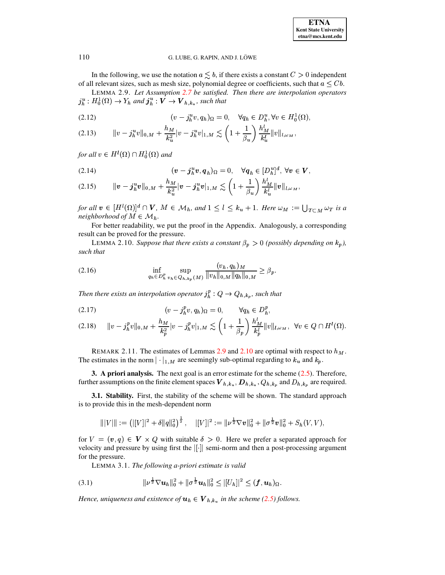<span id="page-4-1"></span>

| <b>ETNA</b>                  |
|------------------------------|
| <b>Kent State University</b> |
| etna@mcs.kent.edu            |

In the following, we use the notation  $a \lesssim b$ , if there exists a constant  $C > 0$  independent of all relevant sizes, such as mesh size, polynomial degree or coefficients, such that  $a \leq Cb$ .

LEMMA 2.9. Let Assumption 2.7 be satisfied. Then there are interpolation operators  $j_h^u : H_0^1(\Omega) \to Y_h$  and  $j_h^u : V \to V_{h,k_u}$ , such that

(2.12) 
$$
(v - j_h^u v, q_h)_{\Omega} = 0, \quad \forall q_h \in D_h^u, \forall v \in H_0^1(\Omega),
$$

$$
(2.13) \t\t ||v - j_h^u v||_{0,M} + \frac{h_M}{k_u^2}|v - j_h^u v|_{1,M} \lesssim \left(1 + \frac{1}{\beta_u}\right) \frac{h_M^u}{k_u^l} ||v||_{l,\omega_M},
$$

for all  $v \in H^1(\Omega) \cap H_0^1(\Omega)$  and

<span id="page-4-6"></span>(2.14) 
$$
(\mathbf{v} - \mathbf{j}_h^u \mathbf{v}, \mathbf{q}_h)_{\Omega} = 0, \quad \forall \mathbf{q}_h \in [D_h^u]^d, \forall \mathbf{v} \in \mathbf{V},
$$

$$
(2.15) \t\t ||\boldsymbol{v} - \boldsymbol{j}_h^u \boldsymbol{v}||_{0,M} + \frac{h_M}{k_u^2} |\boldsymbol{v} - \boldsymbol{j}_h^u \boldsymbol{v}|_{1,M} \lesssim \left(1 + \frac{1}{\beta_u}\right) \frac{h_M^v}{k_u^l} ||\boldsymbol{v}||_{l,\omega_M},
$$

for all  $v \in [H^l(\Omega)]^d \cap V$ ,  $M \in \mathcal{M}_h$ , and  $1 \leq l \leq k_u + 1$ . Here  $\omega_M := \bigcup_{T \subset M} \omega_T$  is a neighborhood of  $M \in \mathcal{M}_h$ .

For better readability, we put the proof in the Appendix. Analogously, a corresponding result can be proved for the pressure.

<span id="page-4-5"></span><span id="page-4-2"></span>LEMMA 2.10. Suppose that there exists a constant  $\beta_p > 0$  (possibly depending on  $k_p$ ), such that

(2.16) 
$$
\inf_{q_h \in D_h^p} \sup_{v_h \in Q_{h,k_p}(M)} \frac{(v_h, q_h)_M}{\|v_h\|_{0,M} \|q_h\|_{0,M}} \geq \beta_p.
$$

Then there exists an interpolation operator  $j_h^p: Q \to Q_{h,k_p}$ , such that

$$
(2.18) \t||v - j_h^p v||_{0,M} + \frac{h_M}{k_p^2}|v - j_h^p v|_{1,M} \lesssim \left(1 + \frac{1}{\beta_p}\right) \frac{h_M^l}{k_p^l} ||v||_{l,\omega_M}, \ \forall v \in Q \cap H^l(\Omega).
$$

REMARK 2.11. The estimates of Lemmas 2.9 and 2.10 are optimal with respect to  $h_M$ . The estimates in the norm  $|\cdot|_{1,M}$  are seemingly sub-optimal regarding to  $k_u$  and  $k_p$ .

<span id="page-4-0"></span>3. A priori analysis. The next goal is an error estimate for the scheme  $(2.5)$ . Therefore, further assumptions on the finite element spaces  $V_{h,k_u}, D_{h,k_u}, Q_{h,k_v}$  and  $D_{h,k_v}$  are required.

3.1. Stability. First, the stability of the scheme will be shown. The standard approach is to provide this in the mesh-dependent norm

$$
\| |V| \| := \left( |[V]|^2 + \delta \|q\|_0^2 \right)^{\frac{1}{2}}, \quad |[V]|^2 := \| \nu^{\frac{1}{2}} \nabla v \|_0^2 + \| \sigma^{\frac{1}{2}} v \|_0^2 + S_h(V, V),
$$

<span id="page-4-4"></span>for  $V = (v, q) \in V \times Q$  with suitable  $\delta > 0$ . Here we prefer a separated approach for velocity and pressure by using first the  $\vert \vert \cdot \vert \vert$  semi-norm and then a post-processing argument for the pressure.

<span id="page-4-3"></span>LEMMA 3.1. The following a-priori estimate is valid

(3.1) 
$$
\|\nu^{\frac{1}{2}}\nabla u_h\|_0^2 + \|\sigma^{\frac{1}{2}}u_h\|_0^2 \leq |[U_h]|^2 \leq (f, u_h)_{\Omega}.
$$

Hence, uniqueness and existence of  $u_h \in V_{h,k_u}$  in the scheme (2.5) follows.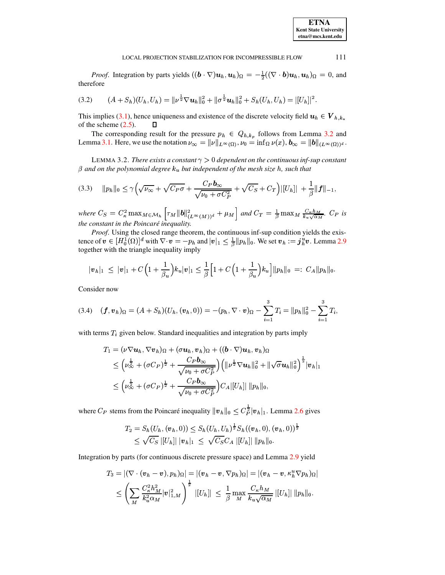*Proof.* Integration by parts yields  $((\mathbf{b} \cdot \nabla) \mathbf{u}_h, \mathbf{u}_h)_{\Omega} = -\frac{1}{2}((\nabla \cdot \mathbf{b}) \mathbf{u}_h, \mathbf{u}_h)_{\Omega} = 0$ , and therefore

$$
(3.2) \qquad (A+S_h)(U_h,U_h)=\|\nu^{\frac{1}{2}}\nabla u_h\|_0^2+\|\sigma^{\frac{1}{2}}u_h\|_0^2+S_h(U_h,U_h)=|[U_h]|^2.
$$

This implies (3.1), hence uniqueness and existence of the discrete velocity field  $u_h \in V_{h,k_u}$ of the scheme  $(2.5)$ .  $\Box$ 

The corresponding result for the pressure  $p_h \in Q_{h,k_p}$  follows from Lemma 3.2 and Lemma 3.1. Here, we use the notation  $\nu_{\infty} = ||\nu||_{L^{\infty}(\Omega)}, \nu_0 = \inf_{\Omega} \nu(x), \mathbf{b}_{\infty} = ||\mathbf{b}||_{(L^{\infty}(\Omega))^d}.$ 

<span id="page-5-0"></span>LEMMA 3.2. There exists a constant  $\gamma > 0$  dependent on the continuous inf-sup constant  $\beta$  and on the polynomial degree  $k_u$  but independent of the mesh size h, such that

$$
(3.3) \quad \|p_h\|_0 \le \gamma \Big(\sqrt{\nu_{\infty}} + \sqrt{C_P \sigma} + \frac{C_P b_{\infty}}{\sqrt{\nu_0 + \sigma C_P^2}} + \sqrt{C_S} + C_T\Big) |[U_h]| \; + \frac{1}{\beta} \|f\|_{-1},
$$

where  $C_S = C_{\kappa}^2 \max_{M \in \mathcal{M}_h} \left[ \tau_M ||b||_{(L^{\infty}(M))^d}^2 + \mu_M \right]$  and  $C_T = \frac{1}{\beta} \max_M \frac{C_{\kappa} h_M}{k_u \sqrt{\alpha_M}}$ .  $C_P$  is the constant in the Poincaré inequality.

*Proof.* Using the closed range theorem, the continuous inf-sup condition yields the existence of  $\mathbf{v} \in [H_0^1(\Omega)]^d$  with  $\nabla \cdot \mathbf{v} = -p_h$  and  $|\mathbf{v}|_1 \leq \frac{1}{\beta} ||p_h||_0$ . We set  $\mathbf{v}_h := \mathbf{j}_h^u \mathbf{v}$ . Lemma 2.9 together with the triangle inequality imply

$$
|\boldsymbol{v}_h|_1 \leq |\boldsymbol{v}|_1 + C\Big(1+\frac{1}{\beta_u}\Big)k_u|\boldsymbol{v}|_1 \leq \frac{1}{\beta}\Big[1+C\Big(1+\frac{1}{\beta_u}\Big)k_u\Big]||p_h||_0 =: C_A||p_h||_0.
$$

<span id="page-5-1"></span>Consider now

$$
(3.4) \quad (\boldsymbol{f},\boldsymbol{v}_h)_{\Omega} = (A + S_h)(U_h,(\boldsymbol{v}_h,0)) = -(p_h, \nabla \cdot \boldsymbol{v})_{\Omega} - \sum_{i=1}^3 T_i = ||p_h||_0^2 - \sum_{i=1}^3 T_i,
$$

with terms  $T_i$  given below. Standard inequalities and integration by parts imply

$$
T_1 = (\nu \nabla u_h, \nabla v_h)_{\Omega} + (\sigma u_h, v_h)_{\Omega} + ((\boldsymbol{b} \cdot \nabla) u_h, v_h)_{\Omega}
$$
  
\n
$$
\leq (\nu_{\infty}^{\frac{1}{2}} + (\sigma C_P)^{\frac{1}{2}} + \frac{C_P \boldsymbol{b}_{\infty}}{\sqrt{\nu_0 + \sigma C_P^2}}) (\|\nu^{\frac{1}{2}} \nabla u_h\|_0^2 + \|\sqrt{\sigma} u_h\|_0^2)^{\frac{1}{2}} |v_h|_1
$$
  
\n
$$
\leq (\nu_{\infty}^{\frac{1}{2}} + (\sigma C_P)^{\frac{1}{2}} + \frac{C_P \boldsymbol{b}_{\infty}}{\sqrt{\nu_0 + \sigma C_P^2}}) C_A |[U_h] | ||p_h||_0,
$$

where  $C_P$  stems from the Poincaré inequality  $||\mathbf{v}_h||_0 \leq C_P^{\frac{1}{2}} |\mathbf{v}_h|_1$ . Lemma 2.6 gives

$$
T_2 = S_h(U_h, (\boldsymbol{v}_h, 0)) \leq S_h(U_h, U_h)^{\frac{1}{2}} S_h((\boldsymbol{v}_h, 0), (\boldsymbol{v}_h, 0))^{\frac{1}{2}} \leq \sqrt{C_S} ||U_h|| ||\boldsymbol{v}_h||_1 \leq \sqrt{C_S} C_A ||U_h|| ||p_h||_0.
$$

Integration by parts (for continuous discrete pressure space) and Lemma 2.9 yield

$$
T_3 = |(\nabla \cdot (\boldsymbol{v}_h - \boldsymbol{v}), p_h)_{\Omega}| = |(\boldsymbol{v}_h - \boldsymbol{v}, \nabla p_h)_{\Omega}| = |(\boldsymbol{v}_h - \boldsymbol{v}, \kappa_h^u \nabla p_h)_{\Omega}|
$$
  

$$
\leq \left(\sum_M \frac{C_\kappa^2 h_M^2}{k_u^2 \alpha_M} |\boldsymbol{v}|_{1,M}^2\right)^{\frac{1}{2}} |[U_h]| \leq \frac{1}{\beta} \max_M \frac{C_\kappa h_M}{k_u \sqrt{\alpha_M}} |[U_h]| \, ||p_h||_0.
$$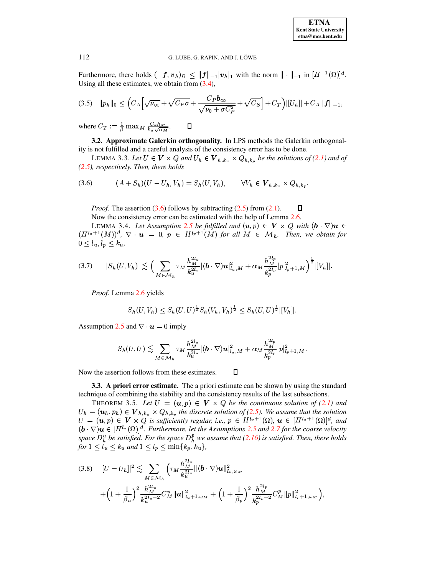Furthermore, there holds  $(-f, v_h)_{\Omega} \leq ||f||_{-1} |v_h|_{1}$  with the norm  $|| \cdot ||_{-1}$  in  $[H^{-1}(\Omega)]^d$ . Using all these estimates, we obtain from  $(3.4)$ ,

$$
(3.5) \quad ||p_h||_0 \leq \left( C_A \left[ \sqrt{\nu_{\infty}} + \sqrt{C_P \sigma} + \frac{C_P b_{\infty}}{\sqrt{\nu_0 + \sigma C_P^2}} + \sqrt{C_S} \right] + C_T \right) |[U_h]| + C_A||f||_{-1},
$$

where  $C_T := \frac{1}{\beta} \max_M \frac{C_{\kappa} h_M}{k_{\kappa} \sqrt{\alpha_M}}$ .  $\Box$ 

3.2. Approximate Galerkin orthogonality. In LPS methods the Galerkin orthogonality is not fulfilled and a careful analysis of the consistency error has to be done.

<span id="page-6-0"></span>LEMMA 3.3. Let  $U \in V \times Q$  and  $U_h \in V_{h,k_u} \times Q_{h,k_p}$  be the solutions of (2.1) and of  $(2.5)$ , respectively. Then, there holds

(3.6) 
$$
(A + S_h)(U - U_h, V_h) = S_h(U, V_h), \qquad \forall V_h \in \mathbf{V}_{h, k_u} \times Q_{h, k_p}.
$$

<span id="page-6-1"></span> $\Box$ *Proof.* The assertion  $(3.6)$  follows by subtracting  $(2.5)$  from  $(2.1)$ . Now the consistency error can be estimated with the help of Lemma 2.6.

LEMMA 3.4. Let Assumption 2.5 be fulfilled and  $(u, p) \in V \times Q$  with  $(b \cdot \nabla)u \in$  $(H^{l_u+1}(M))^d$ ,  $\nabla \cdot \mathbf{u} = 0$ ,  $p \in H^{l_p+1}(M)$  for all  $M \in \mathcal{M}_h$ . Then, we obtain for  $0 \leq l_u, l_p \leq k_u$ 

$$
(3.7) \t|S_h(U,V_h)| \lesssim \Big(\sum_{M\in\mathcal{M}_h} \tau_M \frac{h_M^{2l_u}}{k_u^{2l_u}} |(\boldsymbol{b}\cdot\nabla)\boldsymbol{u}|_{l_u,M}^2 + \alpha_M \frac{h_M^{2l_p}}{k_p^{2l_p}} |p|_{l_p+1,M}^2 \Big)^{\frac{1}{2}} |[V_h]|.
$$

Proof. Lemma 2.6 yields

<span id="page-6-2"></span>
$$
S_h(U, V_h) \leq S_h(U, U)^{\frac{1}{2}} S_h(V_h, V_h)^{\frac{1}{2}} \leq S_h(U, U)^{\frac{1}{2}} |[V_h]|.
$$

Assumption 2.5 and  $\nabla \cdot \mathbf{u} = 0$  imply

$$
S_h(U,U) \lesssim \sum_{M \in \mathcal{M}_h} \tau_M \frac{h_M^{2l_u}}{k_u^{2l_u}} |(\boldsymbol{b} \cdot \nabla) \boldsymbol{u}|^2_{l_u,M} + \alpha_M \frac{h_M^{2l_p}}{k_p^{2l_p}} |p|^2_{l_p+1,M}.
$$

Now the assertion follows from these estimates.

**3.3.** A priori error estimate. The a priori estimate can be shown by using the standard technique of combining the stability and the consistency results of the last subsections.

<span id="page-6-3"></span> $\Box$ 

THEOREM 3.5. Let  $U = (u, p) \in V \times Q$  be the continuous solution of (2.1) and  $U_h = (\mathbf{u}_h, p_h) \in \mathbf{V}_{h,k_u} \times Q_{h,k_p}$  the discrete solution of (2.5). We assume that the solution  $U = (\mathbf{u}, p) \in \mathbf{V} \times Q$  is sufficiently regular, i.e.,  $p \in H^{l_p+1}(\Omega)$ ,  $\mathbf{u} \in [H^{l_u+1}(\Omega)]^d$ , and  $(b \cdot \nabla)u \in [H^{l_u}(\Omega)]^d$ . Furthermore, let the Assumptions 2.5 and 2.7 for the coarse velocity space  $D_h^u$  be satisfied. For the space  $D_h^p$  we assume that (2.16) is satisfied. Then, there holds for  $1 \leq l_u \leq k_u$  and  $1 \leq l_p \leq \min\{k_p, k_u\}$ ,

<span id="page-6-4"></span>
$$
(3.8) \quad ||U - U_h||^2 \lesssim \sum_{M \in \mathcal{M}_h} \left( \tau_M \frac{h_M^{2l_u}}{k_u^{2l_u}} || (\boldsymbol{b} \cdot \nabla) \boldsymbol{u} ||_{l_u, \omega_M}^2 \right. \\
\left. + \left( 1 + \frac{1}{\beta_u} \right)^2 \frac{h_{M}^{2l_u}}{k_u^{2l_u - 2}} C_M^u ||\boldsymbol{u} ||_{l_u + 1, \omega_M}^2 + \left( 1 + \frac{1}{\beta_p} \right)^2 \frac{h_{M}^{2l_p}}{k_p^{2l_p - 2}} C_M^p ||p||_{l_p + 1, \omega_M}^2 \right),
$$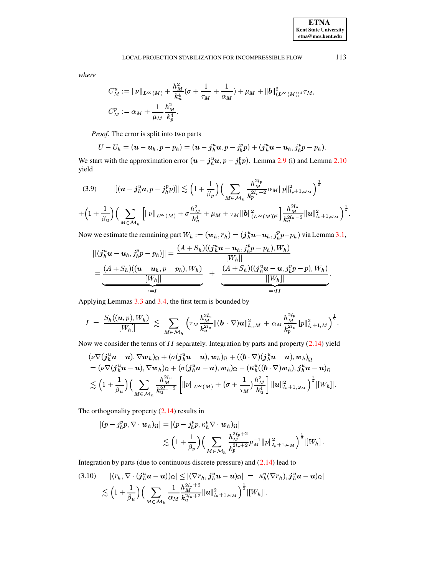### LOCAL PROJECTION STABILIZATION FOR INCOMPRESSIBLE FLOW

where

$$
C_M^u := \|\nu\|_{L^\infty(M)} + \frac{h_M^2}{k_u^4} (\sigma + \frac{1}{\tau_M} + \frac{1}{\alpha_M}) + \mu_M + \|b\|_{(L^\infty(M))^{d}}^2 \tau_M,
$$
  

$$
C_M^p := \alpha_M + \frac{1}{\mu_M} \frac{h_M^2}{k_p^4}.
$$

*Proof.* The error is split into two parts

$$
U-Uh=(\boldsymbol{u}-\boldsymbol{u}_h,p-p_h)=(\boldsymbol{u}-\boldsymbol{j}_h^{\mathrm{u}}\boldsymbol{u},p-\boldsymbol{j}_h^{\mathrm{p}}\boldsymbol{p})+(\boldsymbol{j}_h^{\mathrm{u}}\boldsymbol{u}-\boldsymbol{u}_h,\boldsymbol{j}_h^{\mathrm{p}}\boldsymbol{p}-p_h).
$$

We start with the approximation error  $(\mathbf{u} - \mathbf{j}_{h}^{u} \mathbf{u}, p - \mathbf{j}_{h}^{p})$ . Lemma 2.9 (i) and Lemma 2.10 yield

<span id="page-7-0"></span>
$$
(3.9) \qquad ||(u - j_h^u u, p - j_h^p p) || \lesssim \left(1 + \frac{1}{\beta_p}\right) \left(\sum_{M \in \mathcal{M}_h} \frac{h_M^{2l_p}}{k_p^{2l_p - 2}} \alpha_M ||p||_{l_p + 1, \omega_M}^2\right)^{\frac{1}{2}}
$$

$$
+ \left(1 + \frac{1}{\beta_u}\right) \left(\sum_{M \in \mathcal{M}_h} \left[||\nu||_{L^{\infty}(M)} + \sigma \frac{h_M^2}{k_u^4} + \mu_M + \tau_M ||b||_{(L^{\infty}(M))^d}^2\right] \frac{h_M^{2l_u}}{k_u^{2l_u - 2}} ||u||_{l_u + 1, \omega_M}^2\right)^{\frac{1}{2}}
$$

Now we estimate the remaining part  $W_h := (\mathbf{w}_h, r_h) = (j_h^u \mathbf{u} - \mathbf{u}_h, j_h^p p - p_h)$  via Lemma 3.1,

$$
|[(j_{h}^{u}u - u_{h},j_{h}^{p}p - p_{h})]| = \frac{(A + S_{h})((j_{h}^{u}u - u_{h},j_{h}^{p}p - p_{h}),W_{h})}{|[W_{h}]|} \\
= \underbrace{\frac{(A + S_{h})((u - u_{h},p - p_{h}),W_{h})}{|[W_{h}]|}}_{:=I} + \underbrace{\frac{(A + S_{h})((j_{h}^{u}u - u,j_{h}^{p}p - p),W_{h})}{|[W_{h}]|}}_{=:II}.
$$

Applying Lemmas 3.3 and 3.4, the first term is bounded by

$$
I = \frac{S_h((u,p),W_h)}{|[W_h]]} \lesssim \sum_{M \in \mathcal{M}_h} \left( \tau_M \frac{h_M^{2l_u}}{k_u^{2l_u}} \| (\boldsymbol{b} \cdot \nabla) \boldsymbol{u} \|_{l_u,M}^2 + \alpha_M \frac{h_M^{2l_p}}{k_p^{2l_p}} \| p \|_{l_p+1,M}^2 \right)^{\frac{1}{2}}.
$$

Now we consider the terms of  $II$  separately. Integration by parts and property  $(2.14)$  yield

$$
(\nu \nabla (\mathbf{j}_h^u \mathbf{u} - \mathbf{u}), \nabla \mathbf{w}_h)_{\Omega} + (\sigma (\mathbf{j}_h^u \mathbf{u} - \mathbf{u}), \mathbf{w}_h)_{\Omega} + ((\mathbf{b} \cdot \nabla)(\mathbf{j}_h^u \mathbf{u} - \mathbf{u}), \mathbf{w}_h)_{\Omega} = (\nu \nabla (\mathbf{j}_h^u \mathbf{u} - \mathbf{u}), \nabla \mathbf{w}_h)_{\Omega} + (\sigma (\mathbf{j}_h^u \mathbf{u} - \mathbf{u}), \mathbf{w}_h)_{\Omega} - (\kappa_h^u ((\mathbf{b} \cdot \nabla) \mathbf{w}_h), \mathbf{j}_h^u \mathbf{u} - \mathbf{u})_{\Omega} \n\lesssim \left(1 + \frac{1}{\beta_u}\right) \left(\sum_{M \in \mathcal{M}_h} \frac{h_M^{2l_u}}{k_u^{2l_u - 2}} \left[ \|\nu\|_{L^\infty(M)} + (\sigma + \frac{1}{\tau_M}) \frac{h_M^2}{k_u^4} \right] \|\mathbf{u}\|_{l_u + 1, \omega_M}^2 \right)^{\frac{1}{2}} |[W_h]|.
$$

The orthogonality property  $(2.14)$  results in

$$
\begin{aligned} |(p-j_h^p p, \nabla \cdot \boldsymbol{w}_h)_{\Omega}| &= |(p-j_h^p p, \kappa_h^p \nabla \cdot \boldsymbol{w}_h)_{\Omega}| \\ &\lesssim \Big(1+\frac{1}{\beta_p}\Big) \Big(\sum_{M \in \mathcal{M}_h} \frac{h_M^{2l_p+2}}{k_p^{2l_p+2}} \mu_M^{-1} \|p\|_{l_p+1,\omega_M}^2\Big)^{\frac{1}{2}} |[W_h]| \end{aligned}
$$

Integration by parts (due to continuous discrete pressure) and  $(2.14)$  lead to

$$
(3.10) \quad |(r_h, \nabla \cdot (\boldsymbol{j}_h^u \boldsymbol{u} - \boldsymbol{u}))_{\Omega}| \leq |(\nabla r_h, \boldsymbol{j}_h^u \boldsymbol{u} - \boldsymbol{u})_{\Omega}| = |\kappa_h^u(\nabla r_h), \boldsymbol{j}_h^u \boldsymbol{u} - \boldsymbol{u})_{\Omega}|
$$
  
 
$$
\lesssim \left(1 + \frac{1}{\beta_u}\right) \left(\sum_{M \in \mathcal{M}_h} \frac{h_M^{2l_u+2}}{\alpha_M} \|\boldsymbol{u}\|_{l_u+1,\omega_M}^2\right)^{\frac{1}{2}} |[W_h]|.
$$

113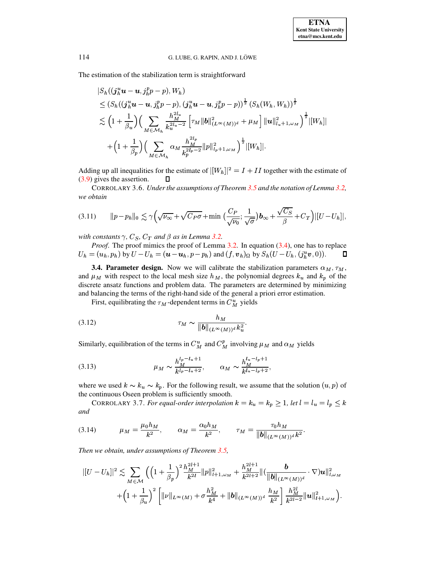The estimation of the stabilization term is straightforward

$$
|S_h((j_h^u \mathbf{u} - \mathbf{u}, j_h^p p - p), W_h)|
$$
  
\n
$$
\leq (S_h((j_h^u \mathbf{u} - \mathbf{u}, j_h^p p - p), (j_h^u \mathbf{u} - \mathbf{u}, j_h^p p - p))^{\frac{1}{2}} (S_h(W_h, W_h))^{\frac{1}{2}}
$$
  
\n
$$
\lesssim (1 + \frac{1}{\beta_u}) \Big( \sum_{M \in \mathcal{M}_h} \frac{h_M^{2l_u}}{k_u^{2l_u - 2}} \Big[ \tau_M ||\mathbf{b}||_{(L^{\infty}(M))^d}^2 + \mu_M \Big] ||\mathbf{u}||_{l_u + 1, \omega_M}^2 \Big)^{\frac{1}{2}} |[W_h]|
$$
  
\n
$$
+ (1 + \frac{1}{\beta_p}) \Big( \sum_{M \in \mathcal{M}_h} \alpha_M \frac{h_M^{2l_p}}{k_p^{2l_p - 2}} ||p||_{l_p + 1, \omega_M}^2 \Big)^{\frac{1}{2}} |[W_h]|.
$$

Adding up all inequalities for the estimate of  $|[W_h]|^2 = I + II$  together with the estimate of  $(3.9)$  gives the assertion.  $\Box$ 

CORROLARY 3.6. Under the assumptions of Theorem 3.5 and the notation of Lemma 3.2, we obtain

$$
(3.11) \qquad ||p - p_h||_0 \lesssim \gamma \Big( \sqrt{\nu_{\infty}} + \sqrt{C_P \sigma} + \min \Big( \frac{C_P}{\sqrt{\nu_0}}; \frac{1}{\sqrt{\sigma}} \Big) \mathbf{b}_{\infty} + \frac{\sqrt{C_S}}{\beta} + C_T \Big) |[U - U_h]|.
$$

with constants  $\gamma$ ,  $C_S$ ,  $C_T$  and  $\beta$  as in Lemma 3.2.

Proof. The proof mimics the proof of Lemma 3.2. In equation (3.4), one has to replace  $U_h = (u_h, p_h)$  by  $U - U_h = (u - u_h, p - p_h)$  and  $(f, v_h)_{\Omega}$  by  $S_h(U - U_h, (j_h^u v, 0)).$  $\Box$ 

**3.4. Parameter design.** Now we will calibrate the stabilization parameters  $\alpha_M$ ,  $\tau_M$ , and  $\mu_M$  with respect to the local mesh size  $h_M$ , the polynomial degrees  $k_u$  and  $k_p$  of the discrete ansatz functions and problem data. The parameters are determined by minimizing and balancing the terms of the right-hand side of the general a priori error estimation.

First, equilibrating the  $\tau_M$ -dependent terms in  $C_M^u$  yields

(3.12) 
$$
\tau_M \sim \frac{h_M}{\|b\|_{(L^\infty(M))^{d}} k_u^2}.
$$

Similarly, equilibration of the terms in  $C_M^u$  and  $C_M^p$  involving  $\mu_M$  and  $\alpha_M$  yields

(3.13) 
$$
\mu_M \sim \frac{h_M^{l_p - l_u + 1}}{k^{l_p - l_u + 2}}, \qquad \alpha_M \sim \frac{h_M^{l_u - l_p + 1}}{k^{l_u - l_p + 2}},
$$

where we used  $k \sim k_u \sim k_p$ . For the following result, we assume that the solution  $(u, p)$  of the continuous Oseen problem is sufficiently smooth.

CORROLARY 3.7. For equal-order interpolation  $k = k_u = k_p \ge 1$ , let  $l = l_u = l_p \le k$ and

(3.14) 
$$
\mu_M = \frac{\mu_0 h_M}{k^2}, \qquad \alpha_M = \frac{\alpha_0 h_M}{k^2}, \qquad \tau_M = \frac{\tau_0 h_M}{\|b\|_{(L^\infty(M))^{d}} k^2}.
$$

Then we obtain, under assumptions of Theorem 3.5,

$$
||U - U_h||^2 \lesssim \sum_{M \in \mathcal{M}} \left( \left( 1 + \frac{1}{\beta_p} \right)^2 \frac{h_M^{2l+1}}{k^{2l}} ||p||_{l+1,\omega_M}^2 + \frac{h_M^{2l+1}}{k^{2l+2}} ||(\frac{b}{||b||_{(L^{\infty}(M))^d}} \cdot \nabla) \mathbf{u}||_{l,\omega_M}^2 + \left( 1 + \frac{1}{\beta_u} \right)^2 \left[ ||\nu||_{L^{\infty}(M)} + \sigma \frac{h_M^2}{k^4} + ||b||_{(L^{\infty}(M))^d} \frac{h_M}{k^2} \right] \frac{h_M^{2l}}{k^{2l-2}} ||\mathbf{u}||_{l+1,\omega_M}^2.
$$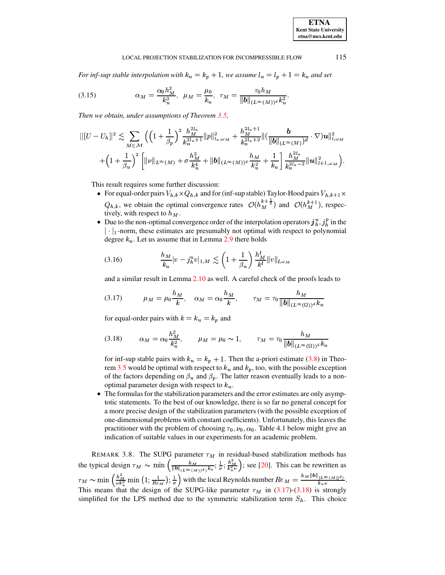#### LOCAL PROJECTION STABILIZATION FOR INCOMPRESSIBLE FLOW 115

*For inf-sup stable interpolation with*  $k_u = k_p + 1$ , we assume  $l_u = l_p + 1 = k_u$  and set

(3.15) 
$$
\alpha_M = \frac{\alpha_0 h_M^2}{k_u^3}, \ \mu_M = \frac{\mu_0}{k_u}, \ \tau_M = \frac{\tau_0 h_M}{\|b\|_{(L^\infty(M))^d} k_u^2}.
$$

*Then we obtain, under assumptions of Theorem [3.5,](#page-6-3)*

$$
||[U - U_h||^2 \lesssim \sum_{M \in \mathcal{M}} \left( \left(1 + \frac{1}{\beta_p}\right)^2 \frac{h_M^{2l_u}}{k_u^{2l_u+1}} ||p||_{l_u,\omega_M}^2 + \frac{h_M^{2l_u+1}}{k_u^{2l_u+2}} ||(\frac{b}{||b||_{(L^\infty(M))}d} \cdot \nabla) \mathbf{u}||_{l,\omega_M}^2 + \left(1 + \frac{1}{\beta_u}\right)^2 \left[ ||\nu||_{L^\infty(M)} + \sigma \frac{h_M^2}{k_u^4} + ||b||_{(L^\infty(M))^d} \frac{h_M}{k_u^2} + \frac{1}{k_u} \right] \frac{h_M^{2l_u}}{k_u^{2l_u-2}} ||\mathbf{u}||_{l+1,\omega_M}^2 \right).
$$

This result requires some further discussion:

- For equal-order pairs  $V_{h,k} \times Q_{h,k}$  and for (inf-sup stable) Taylor-Hood pairs  $V_{h,k+1} \times$  $Q_{h,k}$ , we obtain the optimal convergence rates  $\mathcal{O}(h_M^{k+\frac{1}{2}})$  and  $\mathcal O$  $\overline{v}$  ,  $\overline{v}$  ,  $\overline{v}$ ) and  $\mathcal{O}(h_M^{k+1})$ , respec- $\cdots$  , respectively, with respect to  $h_M$ .
- Due to the non-optimal convergence order of the interpolation operators  $j_h^u, j_h^p$  in the  $|\cdot|_1$ -norm, these estimates are presumably not optimal with respect to polynomial degree  $k_u$ . Let us assume that in Lemma [2.9](#page-4-1) there holds

$$
(3.16) \qquad \qquad \frac{h_M}{k_u}|v - j_h^u v|_{1,M} \lesssim \left(1 + \frac{1}{\beta_u}\right) \frac{h_M^l}{k^l} \|v\|_{l,\omega_M}
$$

and a similar result in Lemma [2.10](#page-4-2) as well. A careful check of the proofs leads to

<span id="page-9-0"></span>
$$
(3.17) \t\t \mu_M = \mu_0 \frac{h_M}{k}, \t \alpha_M = \alpha_0 \frac{h_M}{k}, \t \tau_M = \tau_0 \frac{h_M}{\|b\|_{(L^\infty(\Omega))^d} k_u}
$$

<span id="page-9-1"></span>for equal-order pairs with  $k = k_u = k_p$  and

$$
(3.18) \qquad \alpha_M = \alpha_0 \frac{h_M^2}{k_u^2}, \qquad \mu_M = \mu_0 \sim 1, \qquad \tau_M = \tau_0 \frac{h_M}{\|b\|_{(L^\infty(\Omega))^d} k_u}
$$

for inf-sup stable pairs with  $k_u = k_p + 1$ . Then the a-priori estimate [\(3.8\)](#page-6-4) in Theo-rem [3.5](#page-6-3) would be optimal with respect to  $k_u$  and  $k_p$ , too, with the possible exception of the factors depending on  $\beta_u$  and  $\beta_p$ . The latter reason eventually leads to a nonoptimal parameter design with respect to  $k_u$ .

• The formulas for the stabilization parameters and the error estimates are only asymptotic statements. To the best of our knowledge, there is so far no general concept for a more precise design of the stabilization parameters (with the possible exception of one-dimensional problems with constant coefficients). Unfortunately, this leaves the practitioner with the problem of choosing  $\tau_0, \nu_0, \alpha_0$ . Table 4.1 below might give an indication of suitable values in our experiments for an academic problem.

REMARK 3.8. The SUPG parameter  $\tau_M$  in residual-based stabilization methods has the typical design  $\tau_M \sim \min \left( \frac{h_M}{\|b\|_{(L^\infty(M))^{d}} k_u}; \frac{1}{\sigma}; \frac{h_M^2}{k_u^2 \nu} \right)$ ; see [\[20\]](#page-16-5). This can be rewritten as  $\tau_M \sim \min\left(\frac{h_M^2}{\nu_k^2} \min\left(1, \frac{1}{Re_M}\right), \frac{1}{\sigma}\right)$  with the local Reynolds number  $Re_M = \frac{h_M ||b||_{L^{\infty}(M)|^d}}{k_M \nu}$ . This means that the design of the SUPG-like parameter  $\tau_M$  in [\(3.17\)](#page-9-0)-[\(3.18\)](#page-9-1) is strongly simplified for the LPS method due to the symmetric stabilization term  $S_h$ . This choice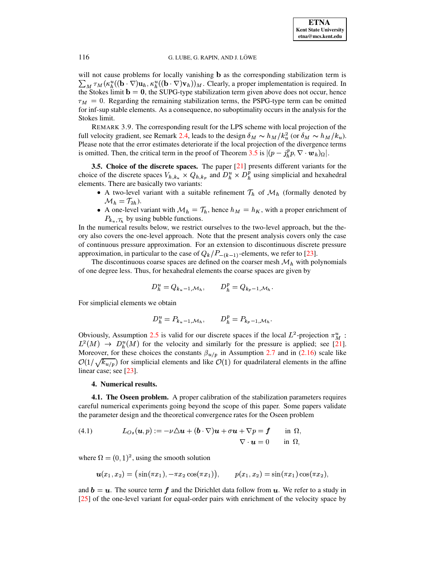will not cause problems for locally vanishing **b** as the corresponding stabilization term is  $\sum_M \tau_M(\kappa_h^u((\mathbf{b}\cdot\nabla)\mathbf{u}_h, \kappa_h^u((\mathbf{b}\cdot\nabla)\mathbf{v}_h))_M)$ . Clearly, a proper implementation is required. In the Stokes limit  $\mathbf{b} = \mathbf{0}$ , the SUPG-type stabilization term given above does not occur, hence  $\tau_M = 0$ . Regarding the remaining stabilization terms, the PSPG-type term can be omitted for inf-sup stable elements. As a consequence, no suboptimality occurs in the analysis for the Stokes limit.

<span id="page-10-1"></span>REMARK 3.9. The corresponding result for the LPS scheme with local projection of the full velocity gradient, see Remark 2.4, leads to the design  $\delta_M \sim h_M/k_u^2$  (or  $\delta_M \sim h_M/k_u$ ). Please note that the error estimates deteriorate if the local projection of the divergence terms is omitted. Then, the critical term in the proof of Theorem 3.5 is  $|(p - j_h^p p, \nabla \cdot \boldsymbol{w}_h)_{\Omega}|$ .

<span id="page-10-2"></span>3.5. Choice of the discrete spaces. The paper [21] presents different variants for the choice of the discrete spaces  $V_{h,k_u} \times Q_{h,k_p}$  and  $D_h^u \times D_h^p$  using simplicial and hexahedral elements. There are basically two variants:

- A two-level variant with a suitable refinement  $\mathcal{T}_h$  of  $\mathcal{M}_h$  (formally denoted by  $\mathcal{M}_h = \mathcal{T}_{2h}$ ).
- A one-level variant with  $\mathcal{M}_h = \mathcal{T}_h$ , hence  $h_M = h_K$ , with a proper enrichment of  $P_{k_u, \mathcal{T}_h}$  by using bubble functions.

In the numerical results below, we restrict ourselves to the two-level approach, but the theory also covers the one-level approach. Note that the present analysis covers only the case of continuous pressure approximation. For an extension to discontinuous discrete pressure approximation, in particular to the case of  $Q_k/P_{-(k-1)}$ -elements, we refer to [23].

The discontinuous coarse spaces are defined on the coarser mesh  $\mathcal{M}_h$  with polynomials of one degree less. Thus, for hexahedral elements the coarse spaces are given by

$$
D_h^u = Q_{k_u-1,\mathcal{M}_h}, \qquad D_h^p = Q_{k_p-1,\mathcal{M}_h}.
$$

For simplicial elements we obtain

$$
D_h^u = P_{k_u-1,\mathcal{M}_h}, \qquad D_h^p = P_{k_p-1,\mathcal{M}_h}.
$$

Obviously, Assumption 2.5 is valid for our discrete spaces if the local  $L^2$ -projection  $\pi_M^u$ :  $L^2(M) \rightarrow D_h^u(M)$  for the velocity and similarly for the pressure is applied; see [21]. Moreover, for these choices the constants  $\beta_{u/p}$  in Assumption 2.7 and in (2.16) scale like  $\mathcal{O}(1/\sqrt{k_{u/p}})$  for simplicial elements and like  $\mathcal{O}(1)$  for quadrilateral elements in the affine linear case; see [23].

### 4. Numerical results.

<span id="page-10-0"></span>4.1. The Oseen problem. A proper calibration of the stabilization parameters requires careful numerical experiments going beyond the scope of this paper. Some papers validate the parameter design and the theoretical convergence rates for the Oseen problem

<span id="page-10-3"></span>(4.1) 
$$
L_{Os}(\boldsymbol{u},p) := -\nu \Delta \boldsymbol{u} + (\boldsymbol{b} \cdot \nabla) \boldsymbol{u} + \sigma \boldsymbol{u} + \nabla p = \boldsymbol{f} \quad \text{in } \Omega, \nabla \cdot \boldsymbol{u} = 0 \quad \text{in } \Omega,
$$

where  $\Omega = (0, 1)^2$ , using the smooth solution

$$
u(x_1, x_2) = (\sin(\pi x_1), -\pi x_2 \cos(\pi x_1)), \qquad p(x_1, x_2) = \sin(\pi x_1) \cos(\pi x_2),
$$

and  $b = u$ . The source term f and the Dirichlet data follow from u. We refer to a study in [25] of the one-level variant for equal-order pairs with enrichment of the velocity space by

116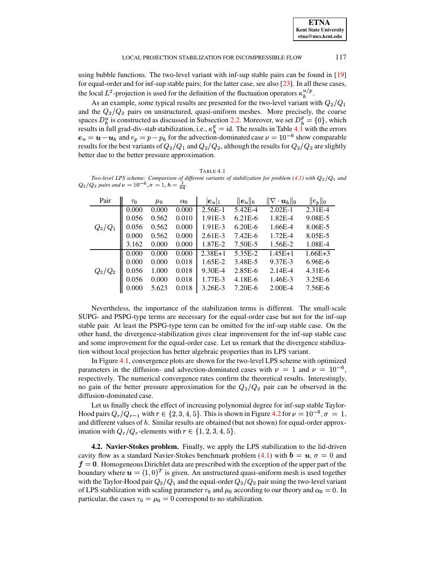| <b>ETNA</b>                  |
|------------------------------|
| <b>Kent State University</b> |
| etna@mcs.kent.edu            |

117

using bubble functions. The two-level variant with inf-sup stable pairs can be found in [19] for equal-order and for inf-sup stable pairs; for the latter case, see also  $[23]$ . In all these cases, the local  $L^2$ -projection is used for the definition of the fluctuation operators  $\kappa_h^{u/p}$ .

As an example, some typical results are presented for the two-level variant with  $Q_2/Q_1$ and the  $Q_2/Q_2$  pairs on unstructured, quasi-uniform meshes. More precisely, the coarse spaces  $D_h^u$  is constructed as discussed in Subsection 2.2. Moreover, we set  $D_h^p = \{0\}$ , which results in full grad-div-stab stabilization, i.e.,  $\kappa_h^p = id$ . The results in Table 4.1 with the errors  $e_u = u - u_h$  and  $e_p = p - p_h$  for the advection-dominated case  $\nu = 10^{-6}$  show comparable results for the best variants of  $Q_2/Q_1$  and  $Q_2/Q_2$ , although the results for  $Q_2/Q_2$  are slightly better due to the better pressure approximation.

<span id="page-11-0"></span>TABLE 4.1 Two-level LPS scheme: Comparison of different variants of stabilization for problem (4.1) with  $Q_2/Q_1$  and  $Q_2/Q_2$  pairs and  $\nu = 10^{-6}$ ,  $\sigma = 1$ ,  $h = \frac{1}{64}$ .

| Pair      | $\tau_0$ | $\mu_0$ | $\alpha_0$ | $ e_u _1$ | $\ \boldsymbol{e}_{u}\ _{0}$ | $\ \nabla\cdot\bm{u}_h\ _0$ | $  e_p  _0$ |
|-----------|----------|---------|------------|-----------|------------------------------|-----------------------------|-------------|
|           | 0.000    | 0.000   | 0.000      | $2.56E-1$ | 5.42E-4                      | $2.02E-1$                   | $2.31E-4$   |
|           | 0.056    | 0.562   | 0.010      | 1.91E-3   | $6.21E-6$                    | 1.82E-4                     | 9.08E-5     |
| $Q_2/Q_1$ | 0.056    | 0.562   | 0.000      | 1.91E-3   | $6.20E-6$                    | 1.66E-4                     | 8.06E-5     |
|           | 0.000    | 0.562   | 0.000      | $2.61E-3$ | $7.42E - 6$                  | $1.72E-4$                   | 8.05E-5     |
|           | 3.162    | 0.000   | 0.000      | 1.87E-2   | 7.50E-5                      | 1.56E-2                     | 1.08E-4     |
|           | 0.000    | 0.000   | 0.000      | $2.38E+1$ | 5.35E-2                      | $1.45E+1$                   | $1.66E + 3$ |
|           | 0.000    | 0.000   | 0.018      | $1.65E-2$ | 3.48E-5                      | 9.37E-3                     | $6.96E-6$   |
| $Q_2/Q_2$ | 0.056    | 1.000   | 0.018      | 9.30E-4   | 2.85E-6                      | $2.14E-4$                   | $4.31E-6$   |
|           | 0.056    | 0.000   | 0.018      | 1.77E-3   | 4.18E-6                      | 1.46E-3                     | $3.25E - 6$ |
|           | 0.000    | 5.623   | 0.018      | 3.26E-3   | 7.20E-6                      | $2.00E-4$                   | 7.56E-6     |

Nevertheless, the importance of the stabilization terms is different. The small-scale SUPG- and PSPG-type terms are necessary for the equal-order case but not for the inf-sup stable pair. At least the PSPG-type term can be omitted for the inf-sup stable case. On the other hand, the divergence-stabilization gives clear improvement for the inf-sup stable case and some improvement for the equal-order case. Let us remark that the divergence stabilization without local projection has better algebraic properties than its LPS variant.

In Figure 4.1, convergence plots are shown for the two-level LPS scheme with optimized parameters in the diffusion- and advection-dominated cases with  $\nu = 1$  and  $\nu = 10^{-6}$ . respectively. The numerical convergence rates confirm the theoretical results. Interestingly, no gain of the better pressure approximation for the  $Q_2/Q_2$  pair can be observed in the diffusion-dominated case.

Let us finally check the effect of increasing polynomial degree for inf-sup stable Taylor-Hood pairs  $Q_r/Q_{r-1}$  with  $r \in \{2,3,4,5\}$ . This is shown in Figure 4.2 for  $\nu = 10^{-6}$ ,  $\sigma = 1$ , and different values of  $h$ . Similar results are obtained (but not shown) for equal-order approximation with  $Q_r/Q_r$ -elements with  $r \in \{1, 2, 3, 4, 5\}.$ 

4.2. Navier-Stokes problem. Finally, we apply the LPS stabilization to the lid-driven cavity flow as a standard Navier-Stokes benchmark problem (4.1) with  $\mathbf{b} = \mathbf{u}, \sigma = 0$  and  $f = 0$ . Homogeneous Dirichlet data are prescribed with the exception of the upper part of the boundary where  $\mathbf{u} = (1,0)^T$  is given. An unstructured quasi-uniform mesh is used together with the Taylor-Hood pair  $Q_2/Q_1$  and the equal-order  $Q_2/Q_2$  pair using the two-level variant of LPS stabilization with scaling parameter  $\tau_0$  and  $\mu_0$  according to our theory and  $\alpha_0 = 0$ . In particular, the cases  $\tau_0 = \mu_0 = 0$  correspond to no stabilization.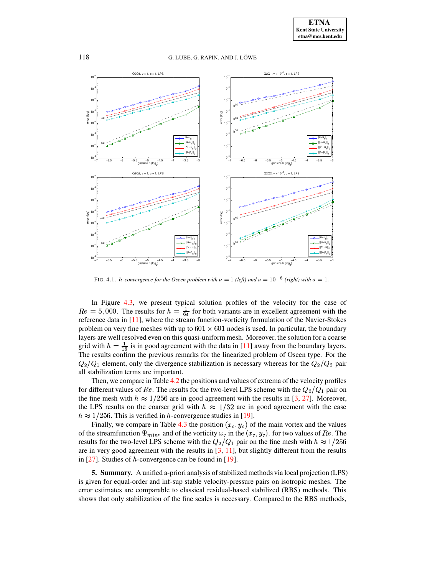

FIG. 4.1. *h*-convergence for the Oseen problem with  $\nu = 1$  (left) and  $\nu = 10^{-6}$  (right) with  $\sigma = 1$ .

<span id="page-12-0"></span>In Figure [4.3,](#page-13-1) we present typical solution profiles of the velocity for the case of  $Re = 5,000$ . The results for  $h = \frac{1}{64}$  for both variants are in excellent agreement with the reference data in [\[11\]](#page-16-18), where the stream function-vorticity formulation of the Navier-Stokes problem on very fine meshes with up to  $601 \times 601$  nodes is used. In particular, the boundary layers are well resolved even on this quasi-uniform mesh. Moreover, the solution for a coarse grid with  $h = \frac{1}{16}$  is in good agreement with the data in [\[11\]](#page-16-18) away from the boundary layers. The results confirm the previous remarks for the linearized problem of Oseen type. For the  $Q_2/Q_1$  element, only the divergence stabilization is necessary whereas for the  $Q_2/Q_2$  pair all stabilization terms are important.

Then, we compare in Table [4.2](#page-14-0) the positions and values of extrema of the velocity profiles for different values of  $Re$ . The results for the two-level LPS scheme with the  $Q_2/Q_1$  pair on the fine mesh with  $h \approx 1/256$  are in good agreement with the results in [\[3,](#page-15-5) [27\]](#page-16-19). Moreover, the LPS results on the coarser grid with  $h \approx 1/32$  are in good agreement with the case  $h \approx 1/256$ . This is verified in h-convergence studies in [\[19\]](#page-16-17).

Finally, we compare in Table [4.3](#page-14-1) the position  $(x_c, y_c)$  of the main vortex and the values of the streamfunction  $\Psi_{mine}$  and of the vorticity  $\omega_c$  in the  $(x_c, y_c)$ . for two values of Re. The results for the two-level LPS scheme with the  $Q_2/Q_1$  pair on the fine mesh with  $h \approx 1/256$ are in very good agreement with the results in  $[3, 11]$  $[3, 11]$  $[3, 11]$ , but slightly different from the results in  $[27]$ . Studies of *h*-convergence can be found in  $[19]$ .

**5. Summary.** A unified a-priori analysis of stabilized methods via local projection (LPS) is given for equal-order and inf-sup stable velocity-pressure pairs on isotropic meshes. The error estimates are comparable to classical residual-based stabilized (RBS) methods. This shows that only stabilization of the fine scales is necessary. Compared to the RBS methods,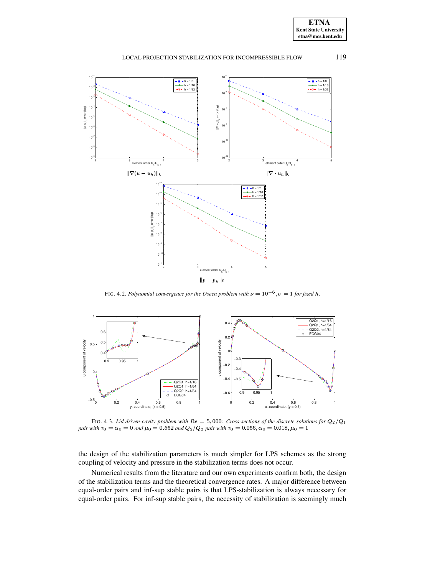

119

#### LOCAL PROJECTION STABILIZATION FOR INCOMPRESSIBLE FLOW



FIG. 4.2. Polynomial convergence for the Oseen problem with  $\nu = 10^{-6}$ ,  $\sigma = 1$  for fixed h.

<span id="page-13-0"></span>

<span id="page-13-1"></span>FIG. 4.3. Lid driven-cavity problem with  $Re = 5,000$ : Cross-sections of the discrete solutions for  $Q_2/Q_1$ pair with  $\tau_0 = \alpha_0 = 0$  and  $\mu_0 = 0.562$  and  $Q_2/Q_2$  pair with  $\tau_0 = 0.056$ ,  $\alpha_0 = 0.018$ ,  $\mu_0 = 1$ .

the design of the stabilization parameters is much simpler for LPS schemes as the strong coupling of velocity and pressure in the stabilization terms does not occur.

Numerical results from the literature and our own experiments confirm both, the design of the stabilization terms and the theoretical convergence rates. A major difference between equal-order pairs and inf-sup stable pairs is that LPS-stabilization is always necessary for equal-order pairs. For inf-sup stable pairs, the necessity of stabilization is seemingly much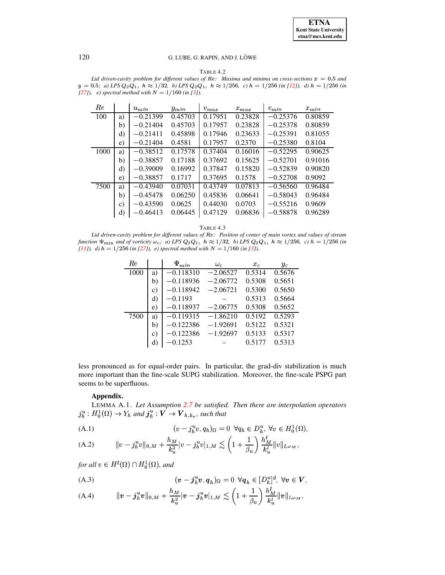TABLE 4.2

<span id="page-14-0"></span>Lid driven-cavity problem for different values of Re: Maxima and minima on cross-sections  $x = 0.5$  and  $y = 0.5$ ; a) LPS  $Q_2Q_1$ ,  $h \approx 1/32$ , b) LPS  $Q_2Q_1$ ,  $h \approx 1/256$ , c)  $h = 1/256$  (in [12]), d)  $h = 1/256$  (in [27]), e) spectral method with  $N = 1/160$  (in [3]).

| Re   |              | $u_{min}$  | $y_{min}$ | $v_{max}$ | $x_{max}$ | $v_{min}$  | $x_{min}$ |
|------|--------------|------------|-----------|-----------|-----------|------------|-----------|
| 100  | a)           | $-0.21399$ | 0.45703   | 0.17951   | 0.23828   | $-0.25376$ | 0.80859   |
|      | b)           | $-0.21404$ | 0.45703   | 0.17957   | 0.23828   | $-0.25378$ | 0.80859   |
|      | d)           | $-0.21411$ | 0.45898   | 0.17946   | 0.23633   | $-0.25391$ | 0.81055   |
|      | e)           | $-0.21404$ | 0.4581    | 0.17957   | 0.2370    | $-0.25380$ | 0.8104    |
| 1000 | a)           | $-0.38512$ | 0.17578   | 0.37404   | 0.16016   | $-0.52295$ | 0.90625   |
|      | b)           | $-0.38857$ | 0.17188   | 0.37692   | 0.15625   | $-0.52701$ | 0.91016   |
|      | d)           | $-0.39009$ | 0.16992   | 0.37847   | 0.15820   | $-0.52839$ | 0.90820   |
|      | e)           | $-0.38857$ | 0.1717    | 0.37695   | 0.1578    | $-0.52708$ | 0.9092    |
| 7500 | a)           | $-0.43940$ | 0.07031   | 0.43749   | 0.07813   | $-0.56560$ | 0.96484   |
|      | b)           | $-0.45478$ | 0.06250   | 0.45836   | 0.06641   | $-0.58043$ | 0.96484   |
|      | $\mathbf{C}$ | $-0.43590$ | 0.0625    | 0.44030   | 0.0703    | $-0.55216$ | 0.9609    |
|      | d)           | $-0.46413$ | 0.06445   | 0.47129   | 0.06836   | $-0.58878$ | 0.96289   |

TABLE 4.3

<span id="page-14-1"></span>Lid driven-cavity problem for different values of Re: Position of center of main vortex and values of stream function  $\Psi_{min}$  and of vorticity  $\omega_c$ ; a) LPS  $Q_2Q_1$ ,  $h \approx 1/32$ , b) LPS  $Q_2Q_1$ ,  $h \approx 1/256$ , c)  $h = 1/256$  (in [11]), d)  $h = 1/256$  (in [27]), e) spectral method with  $N = 1/160$  (in [3]).

| Re   |                 | $\Psi_{min}$ | $\omega_c$ | $x_c$  | $y_c$  |
|------|-----------------|--------------|------------|--------|--------|
| 1000 | a)              | $-0.118310$  | $-2.06527$ | 0.5314 | 0.5676 |
|      | b)              | $-0.118936$  | $-2.06772$ | 0.5308 | 0.5651 |
|      | C)              | $-0.118942$  | $-2.06721$ | 0.5300 | 0.5650 |
|      | d)              | $-0.1193$    |            | 0.5313 | 0.5664 |
|      | e)              | $-0.118937$  | $-2.06775$ | 0.5308 | 0.5652 |
| 7500 | a)              | $-0.119315$  | $-1.86210$ | 0.5192 | 0.5293 |
|      | b)              | $-0.122386$  | $-1.92691$ | 0.5122 | 0.5321 |
|      | $\mathcal{C}$ ) | $-0.122386$  | $-1.92697$ | 0.5133 | 0.5317 |
|      | d)              | $-0.1253$    |            | 0.5177 | 0.5313 |

less pronounced as for equal-order pairs. In particular, the grad-div stabilization is much more important than the fine-scale SUPG stabilization. Moreover, the fine-scale PSPG part seems to be superfluous.

# Appendix.

LEMMA A.1. Let Assumption 2.7 be satisfied. Then there are interpolation operators  $j_h^u : H_0^1(\Omega) \to Y_h$  and  $j_h^u : V \to V_{h,k_u}$ , such that

<span id="page-14-2"></span>(A.1) 
$$
(v - j_h^u v, q_h)_{\Omega} = 0 \ \forall q_h \in D_h^u, \forall v \in H_0^1(\Omega),
$$

(A.2) 
$$
\|v - j_h^u v\|_{0,M} + \frac{h_M}{k_u^2}|v - j_h^u v|_{1,M} \lesssim \left(1 + \frac{1}{\beta_u}\right) \frac{h'_M}{k_u^l} \|v\|_{l,\omega_M},
$$

for all  $v \in H^1(\Omega) \cap H_0^1(\Omega)$ , and

(A.3) 
$$
(\mathbf{v} - \mathbf{j}_h^u \mathbf{v}, \mathbf{q}_h)_{\Omega} = 0 \ \forall \mathbf{q}_h \in [D_h^u]^d, \ \forall \mathbf{v} \in \mathbf{V},
$$

(A.4) 
$$
\|v - j_h^u v\|_{0,M} + \frac{h_M}{k_u^2} |v - j_h^u v|_{1,M} \lesssim \left(1 + \frac{1}{\beta_u}\right) \frac{h'_M}{k_u^l} \|v\|_{l,\omega_M},
$$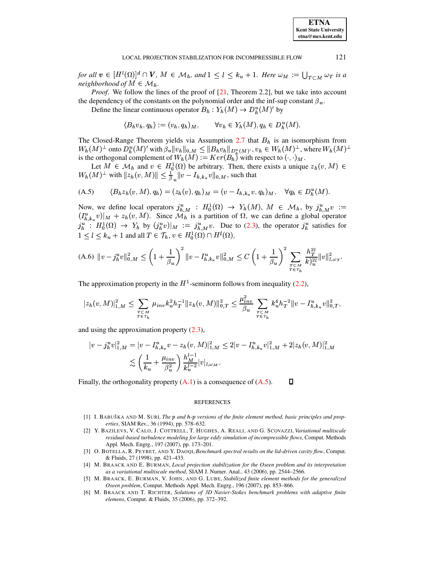121

for all  $v \in [H^l(\Omega)]^d \cap V$ ,  $M \in \mathcal{M}_h$ , and  $1 \leq l \leq k_u + 1$ . Here  $\omega_M := \bigcup_{T \subset M} \omega_T$  is a neighborhood of  $M \in \mathcal{M}_h$ .

*Proof.* We follow the lines of the proof of  $[21,$  Theorem 2.2], but we take into account the dependency of the constants on the polynomial order and the inf-sup constant  $\beta_u$ .

Define the linear continuous operator  $B_h: Y_h(M) \to D_h^u(M)$  by

<span id="page-15-6"></span> $\langle B_h v_h, q_h \rangle := (v_h, q_h)_M, \qquad \forall v_h \in Y_h(M), q_h \in D_h^u(M).$ 

The Closed-Range Theorem yields via Assumption  $2.7$  that  $B_h$  is an isomorphism from  $W_h(M)^\perp$  onto  $D_h^u(M)'$  with  $\beta_u \|v_h\|_{0,M} \leq \|B_h v_h\|_{D_h^u(M)'}, v_h \in W_h(M)^\perp$ , where  $W_h(M)^\perp$ is the orthogonal complement of  $W_h(M) := Ker(B_h)$  with respect to  $(\cdot, \cdot)_M$ .

Let  $M \in \mathcal{M}_h$  and  $v \in H_0^1(\Omega)$  be arbitrary. Then, there exists a unique  $z_h(v, M) \in$  $W_h(M)^{\perp}$  with  $||z_h(v,M)|| \leq \frac{1}{\beta}$ ,  $||v - I_{h,k_u}v||_{0,M}$ , such that

$$
(A.5) \qquad \langle B_h z_h(v,M), q_h \rangle = (z_h(v), q_h)_M = (v - I_{h,k_u}v, q_h)_M, \quad \forall q_h \in D_h^u(M).
$$

Now, we define local operators  $j_{h,M}^u : H_0^1(\Omega) \to Y_h(M)$ ,  $M \in \mathcal{M}_h$ , by  $j_{h,M}^u v := (I_{h,k_u}^u v)|_M + z_h(v,M)$ . Since  $\mathcal{M}_h$  is a partition of  $\Omega$ , we can define a global operator  $j_h^u$  :  $H_0^1(\Omega) \to Y_h$  by  $(j_h^u v)|_M := j_{h,M}^u v$ . Due to (2.3), the operator  $j_h^u$  satisfies for  $1 \leq l \leq k_u + 1$  and all  $T \in \mathcal{T}_h$ ,  $v \in H_0^1(\Omega) \cap H^l(\Omega)$ ,

$$
\text{(A.6)} \ \ \|v - j^u_h v\|^2_{0,M} \le \left(1 + \frac{1}{\beta_u}\right)^2 \|v - I^u_{h,k_u} v\|^2_{0,M} \le C \left(1 + \frac{1}{\beta_u}\right)^2 \sum_{\substack{T \subset M \\ T \in \mathcal{T}_h}} \frac{h_T^{2l}}{k \}_{u}^2 \|v\|^2_{l,\omega_T}.
$$

The approximation property in the  $H^1$ -seminorm follows from inequality (2.2),

$$
|z_h(v,M)|_{1,M}^2 \leq \sum_{\substack{T \subset M \\ T \in \mathcal{T}_h}} \mu_{inv} k_u^2 h_T^{-1} ||z_h(v,M)||_{0,T}^2 \leq \frac{\mu_{inv}^2}{\beta_u} \sum_{\substack{T \subset M \\ T \in \mathcal{T}_h}} k_u^4 h_T^{-2} ||v - I_{h,k_u}^u v||_{0,T}^2,
$$

and using the approximation property  $(2.3)$ ,

$$
|v - j_h^u v|_{1,M}^2 = |v - I_{h,k_u}^u v - z_h(v, M)|_{1,M}^2 \le 2|v - I_{h,k_u}^u v|_{1,M}^2 + 2|z_h(v, M)|_{1,M}^2
$$
  

$$
\lesssim \left(\frac{1}{k_u} + \frac{\mu_{inv}}{\beta_u^2}\right) \frac{h_M^{l-1}}{k_u^{l-2}} |v|_{l,\omega_M}.
$$

Finally, the orthogonality property  $(A,1)$  is a consequence of  $(A.5)$ . Д

### **REFERENCES**

- <span id="page-15-3"></span>[1] I. BABUŠKA AND M. SURI, The p and h-p versions of the finite element method, basic principles and properties, SIAM Rev., 36 (1994), pp. 578-632.
- <span id="page-15-1"></span>[2] Y. BAZILEVS, V. CALO, J. COTTRELL, T. HUGHES, A. REALI, AND G. SCOVAZZI, Variational multiscale residual-based turbulence modeling for large eddy simulation of incompressible flows, Comput. Methods Appl. Mech. Engrg., 197 (2007), pp. 173-201.
- <span id="page-15-5"></span>[3] O. BOTELLA, R. PEYRET, AND Y. DAOQI, Benchmark spectral results on the lid-driven cavity flow, Comput. & Fluids, 27 (1998), pp. 421-433.
- <span id="page-15-2"></span>[4] M. BRAACK AND E. BURMAN, Local projection stabilization for the Oseen problem and its interpretation as a variational multiscale method, SIAM J. Numer. Anal., 43 (2006), pp. 2544-2566.
- <span id="page-15-0"></span>[5] M. BRAACK, E. BURMAN, V. JOHN, AND G. LUBE, Stabilized finite element methods for the generalized Oseen problem, Comput. Methods Appl. Mech. Engrg., 196 (2007), pp. 853-866.
- <span id="page-15-4"></span>[6] M. BRAACK AND T. RICHTER, Solutions of 3D Navier-Stokes benchmark problems with adaptive finite elemens, Comput. & Fluids, 35 (2006), pp. 372-392.